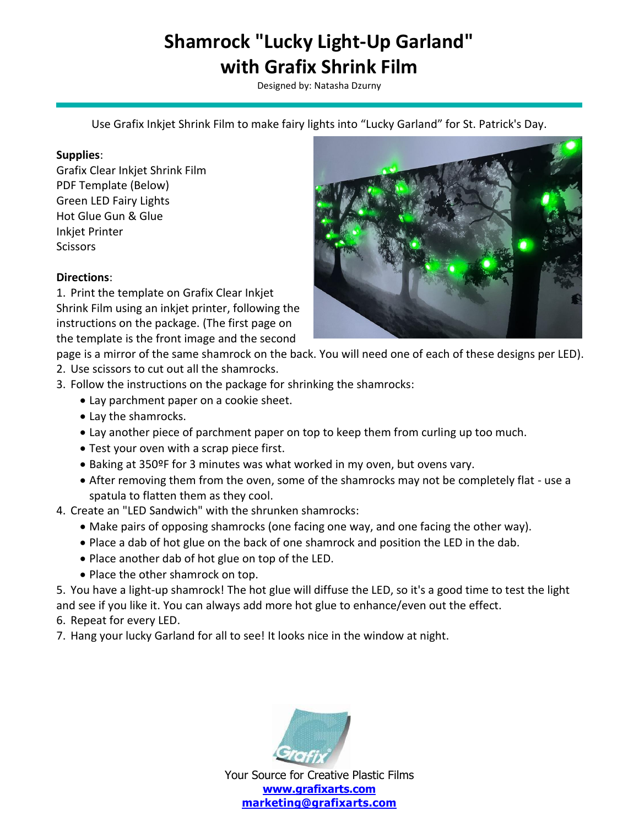Designed by: Natasha Dzurny

Use Grafix Inkjet Shrink Film to make fairy lights into "Lucky Garland" for St. Patrick's Day.

#### **Supplies**:

Grafix Clear Inkjet Shrink Film PDF Template (Below) Green LED Fairy Lights Hot Glue Gun & Glue Inkjet Printer **Scissors** 

#### **Directions**:

1. Print the template on Grafix Clear Inkjet Shrink Film using an inkjet printer, following the instructions on the package. (The first page on the template is the front image and the second



page is a mirror of the same shamrock on the back. You will need one of each of these designs per LED).

- 2. Use scissors to cut out all the shamrocks.
- 3. Follow the instructions on the package for shrinking the shamrocks:
	- Lay parchment paper on a cookie sheet.
	- Lay the shamrocks.
	- Lay another piece of parchment paper on top to keep them from curling up too much.
	- Test your oven with a scrap piece first.
	- Baking at 350ºF for 3 minutes was what worked in my oven, but ovens vary.
	- After removing them from the oven, some of the shamrocks may not be completely flat use a spatula to flatten them as they cool.
- 4. Create an "LED Sandwich" with the shrunken shamrocks:
	- Make pairs of opposing shamrocks (one facing one way, and one facing the other way).
	- Place a dab of hot glue on the back of one shamrock and position the LED in the dab.
	- Place another dab of hot glue on top of the LED.
	- Place the other shamrock on top.

5. You have a light-up shamrock! The hot glue will diffuse the LED, so it's a good time to test the light and see if you like it. You can always add more hot glue to enhance/even out the effect.

- 6. Repeat for every LED.
- 7. Hang your lucky Garland for all to see! It looks nice in the window at night.

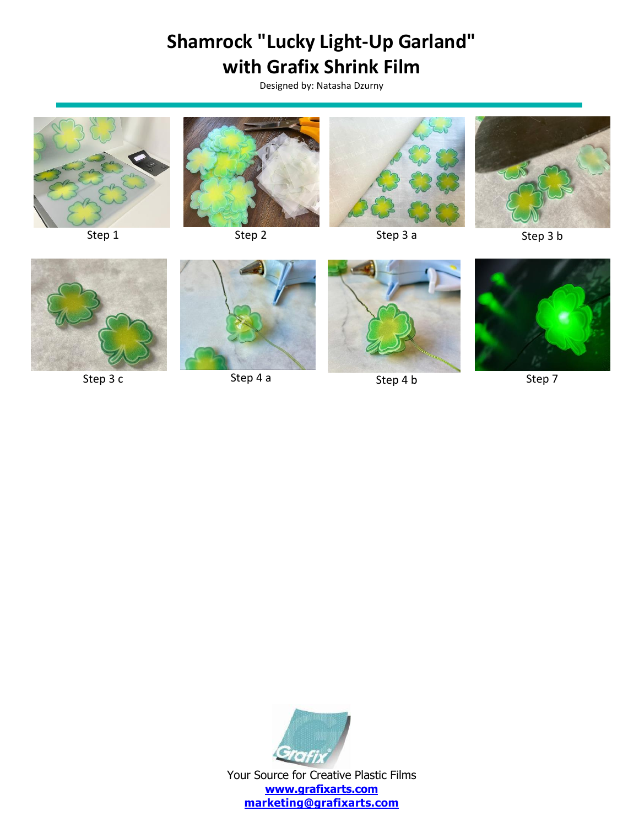Designed by: Natasha Dzurny











Step 1 and Step 2 and Step 3 a Step 3 b Step 3 b







Step 3 c Step 4 a Step 4 a Step 4 b Step 7



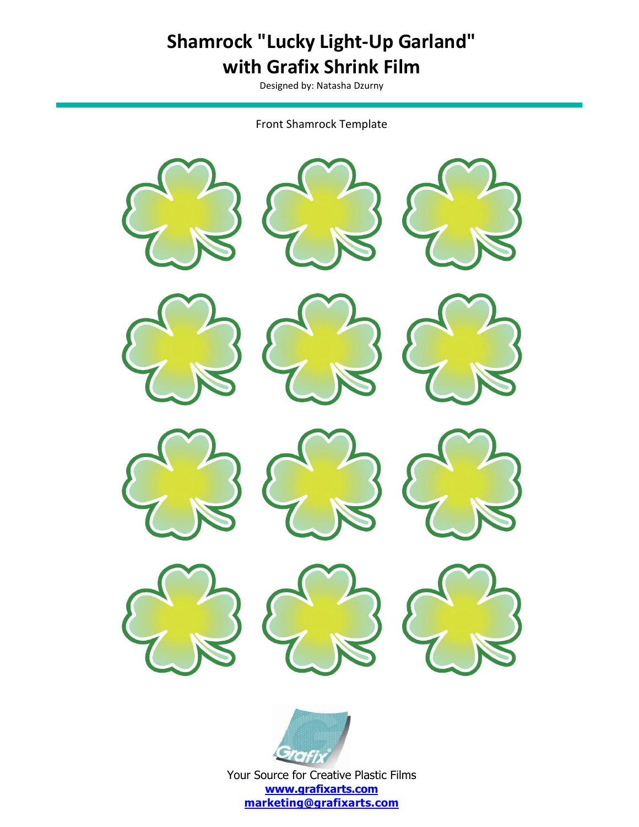Designed by: Natasha Dzurny

Front Shamrock Template